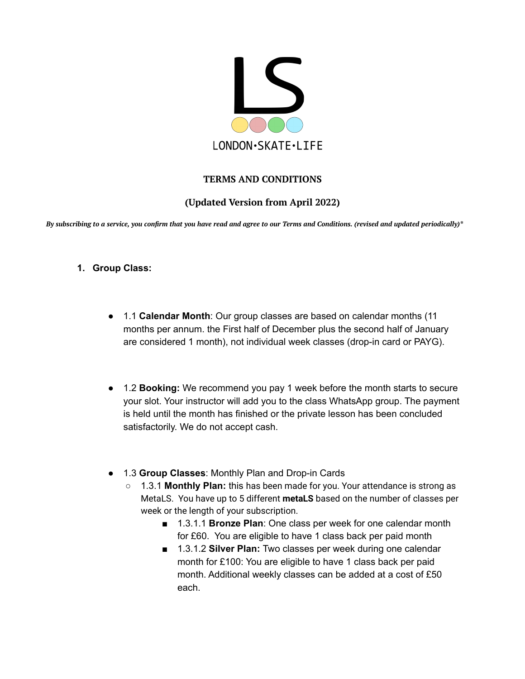

# **TERMS AND CONDITIONS**

## **(Updated Version from April 2022)**

By subscribing to a service, you confirm that you have read and agree to our Terms and Conditions. (revised and updated periodically)\*

- **1. Group Class:**
	- 1.1 **Calendar Month**: Our group classes are based on calendar months (11 months per annum. the First half of December plus the second half of January are considered 1 month), not individual week classes (drop-in card or PAYG).
	- 1.2 **Booking:** We recommend you pay 1 week before the month starts to secure your slot. Your instructor will add you to the class WhatsApp group. The payment is held until the month has finished or the private lesson has been concluded satisfactorily. We do not accept cash.
	- 1.3 **Group Classes**: Monthly Plan and Drop-in Cards
		- 1.3.1 **Monthly Plan:** this has been made for you. Your attendance is strong as MetaLS. You have up to 5 different **metaLS** based on the number of classes per week or the length of your subscription.
			- 1.3.1.1 **Bronze Plan**: One class per week for one calendar month for £60. You are eligible to have 1 class back per paid month
			- 1.3.1.2 **Silver Plan:** Two classes per week during one calendar month for £100: You are eligible to have 1 class back per paid month. Additional weekly classes can be added at a cost of £50 each.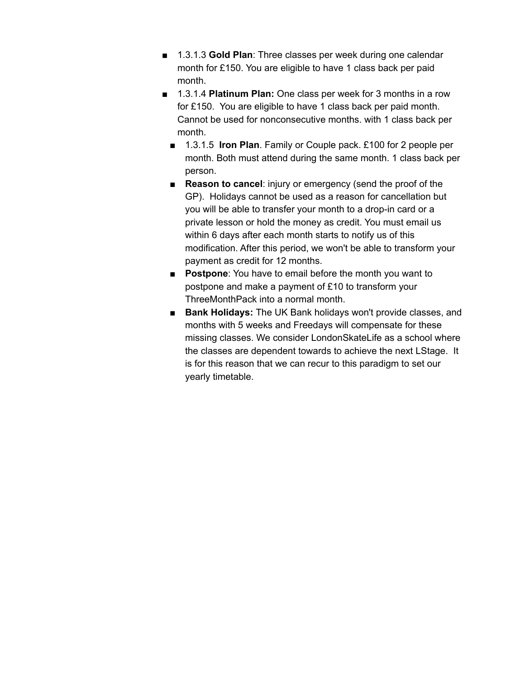- 1.3.1.3 **Gold Plan**: Three classes per week during one calendar month for £150. You are eligible to have 1 class back per paid month.
- 1.3.1.4 **Platinum Plan:** One class per week for 3 months in a row for £150. You are eligible to have 1 class back per paid month. Cannot be used for nonconsecutive months. with 1 class back per month.
	- 1.3.1.5 **Iron Plan**. Family or Couple pack. £100 for 2 people per month. Both must attend during the same month. 1 class back per person.
	- **Reason to cancel:** injury or emergency (send the proof of the GP). Holidays cannot be used as a reason for cancellation but you will be able to transfer your month to a drop-in card or a private lesson or hold the money as credit. You must email us within 6 days after each month starts to notify us of this modification. After this period, we won't be able to transform your payment as credit for 12 months.
	- **Postpone**: You have to email before the month you want to postpone and make a payment of £10 to transform your ThreeMonthPack into a normal month.
	- **Bank Holidays:** The UK Bank holidays won't provide classes, and months with 5 weeks and Freedays will compensate for these missing classes. We consider LondonSkateLife as a school where the classes are dependent towards to achieve the next LStage. It is for this reason that we can recur to this paradigm to set our yearly timetable.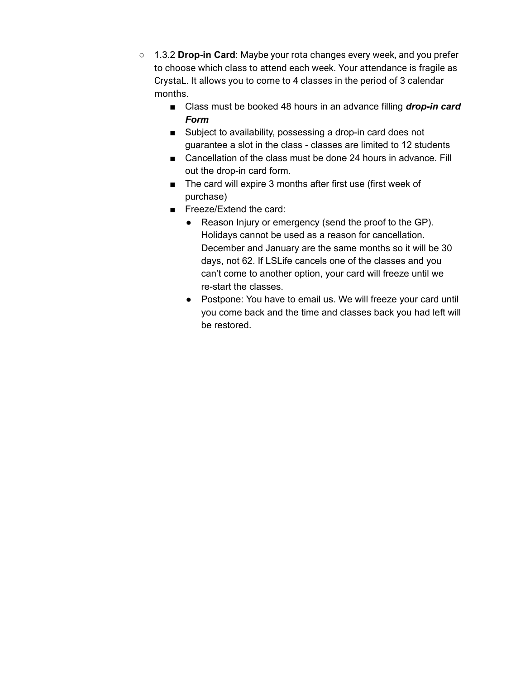- 1.3.2 **Drop-in Card**: Maybe your rota changes every week, and you prefer to choose which class to attend each week. Your attendance is fragile as CrystaL. It allows you to come to 4 classes in the period of 3 calendar months.
	- Class must be booked 48 hours in an advance filling *drop-in card Form*
	- Subject to availability, possessing a drop-in card does not guarantee a slot in the class - classes are limited to 12 students
	- Cancellation of the class must be done 24 hours in advance. Fill out the drop-in card form.
	- The card will expire 3 months after first use (first week of purchase)
	- Freeze/Extend the card:
		- Reason Injury or emergency (send the proof to the GP). Holidays cannot be used as a reason for cancellation. December and January are the same months so it will be 30 days, not 62. If LSLife cancels one of the classes and you can't come to another option, your card will freeze until we re-start the classes.
		- Postpone: You have to email us. We will freeze your card until you come back and the time and classes back you had left will be restored.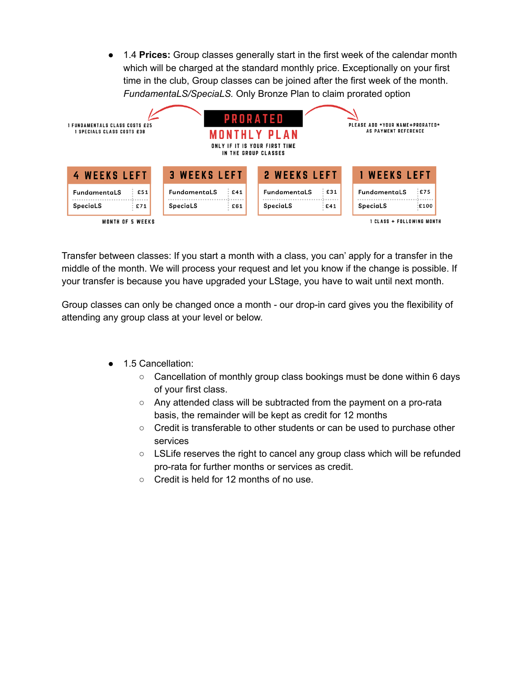● 1.4 **Prices:** Group classes generally start in the first week of the calendar month which will be charged at the standard monthly price. Exceptionally on your first time in the club, Group classes can be joined after the first week of the month. *FundamentaLS/SpeciaLS.* Only Bronze Plan to claim prorated option



Transfer between classes: If you start a month with a class, you can' apply for a transfer in the middle of the month. We will process your request and let you know if the change is possible. If your transfer is because you have upgraded your LStage, you have to wait until next month.

Group classes can only be changed once a month - our drop-in card gives you the flexibility of attending any group class at your level or below.

- 1.5 Cancellation:
	- Cancellation of monthly group class bookings must be done within 6 days of your first class.
	- Any attended class will be subtracted from the payment on a pro-rata basis, the remainder will be kept as credit for 12 months
	- Credit is transferable to other students or can be used to purchase other services
	- $\circ$  LSLife reserves the right to cancel any group class which will be refunded pro-rata for further months or services as credit.
	- Credit is held for 12 months of no use.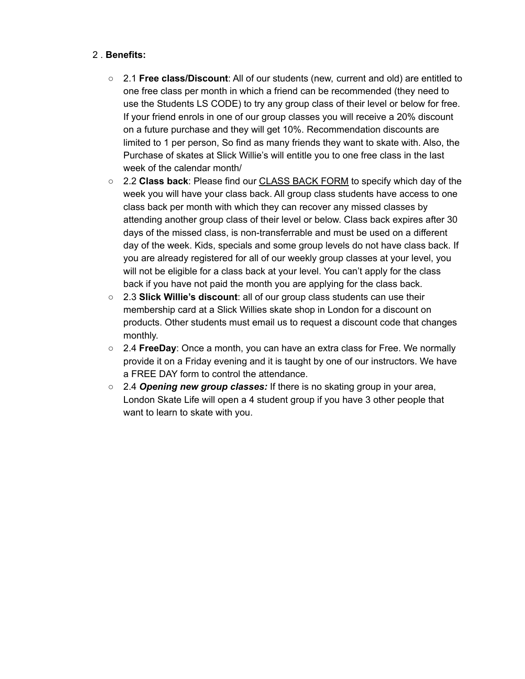## 2 . **Benefits:**

- 2.1 **Free class/Discount**: All of our students (new, current and old) are entitled to one free class per month in which a friend can be recommended (they need to use the Students LS CODE) to try any group class of their level or below for free. If your friend enrols in one of our group classes you will receive a 20% discount on a future purchase and they will get 10%. Recommendation discounts are limited to 1 per person, So find as many friends they want to skate with. Also, the Purchase of skates at Slick Willie's will entitle you to one free class in the last week of the calendar month/
- 2.2 **Class back**: Please find our CLASS BACK FORM to specify which day of the week you will have your class back. All group class students have access to one class back per month with which they can recover any missed classes by attending another group class of their level or below. Class back expires after 30 days of the missed class, is non-transferrable and must be used on a different day of the week. Kids, specials and some group levels do not have class back. If you are already registered for all of our weekly group classes at your level, you will not be eligible for a class back at your level. You can't apply for the class back if you have not paid the month you are applying for the class back.
- 2.3 **Slick Willie's discount**: all of our group class students can use their membership card at a Slick Willies skate shop in London for a discount on products. Other students must email us to request a discount code that changes monthly.
- 2.4 **FreeDay**: Once a month, you can have an extra class for Free. We normally provide it on a Friday evening and it is taught by one of our instructors. We have a FREE DAY form to control the attendance.
- 2.4 *Opening new group classes:* If there is no skating group in your area, London Skate Life will open a 4 student group if you have 3 other people that want to learn to skate with you.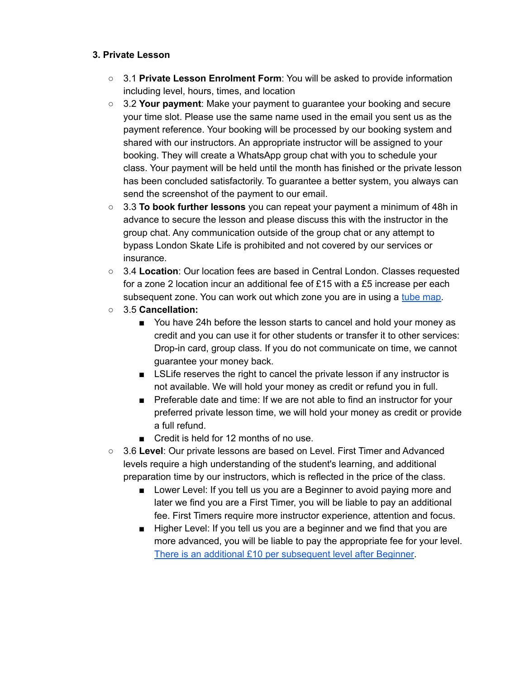#### **3. Private Lesson**

- 3.1 **Private Lesson Enrolment Form**: You will be asked to provide information including level, hours, times, and location
- 3.2 **Your payment**: Make your payment to guarantee your booking and secure your time slot. Please use the same name used in the email you sent us as the payment reference. Your booking will be processed by our booking system and shared with our instructors. An appropriate instructor will be assigned to your booking. They will create a WhatsApp group chat with you to schedule your class. Your payment will be held until the month has finished or the private lesson has been concluded satisfactorily. To guarantee a better system, you always can send the screenshot of the payment to our email.
- 3.3 **To book further lessons** you can repeat your payment a minimum of 48h in advance to secure the lesson and please discuss this with the instructor in the group chat. Any communication outside of the group chat or any attempt to bypass London Skate Life is prohibited and not covered by our services or insurance.
- 3.4 **Location**: Our location fees are based in Central London. Classes requested for a zone 2 location incur an additional fee of £15 with a £5 increase per each subsequent zone. You can work out which zone you are in using a tube [map.](https://tfl.gov.uk/maps/track?intcmp=40400)
- 3.5 **Cancellation:**
	- You have 24h before the lesson starts to cancel and hold your money as credit and you can use it for other students or transfer it to other services: Drop-in card, group class. If you do not communicate on time, we cannot guarantee your money back.
	- LSLife reserves the right to cancel the private lesson if any instructor is not available. We will hold your money as credit or refund you in full.
	- Preferable date and time: If we are not able to find an instructor for your preferred private lesson time, we will hold your money as credit or provide a full refund.
	- Credit is held for 12 months of no use.
- 3.6 **Level**: Our private lessons are based on Level. First Timer and Advanced levels require a high understanding of the student's learning, and additional preparation time by our instructors, which is reflected in the price of the class.
	- Lower Level: If you tell us you are a Beginner to avoid paying more and later we find you are a First Timer, you will be liable to pay an additional fee. First Timers require more instructor experience, attention and focus.
	- Higher Level: If you tell us you are a beginner and we find that you are more advanced, you will be liable to pay the appropriate fee for your level. There is an additional £10 per [subsequent](https://www.londonskatelife.com/private-lessons/) level after Beginner.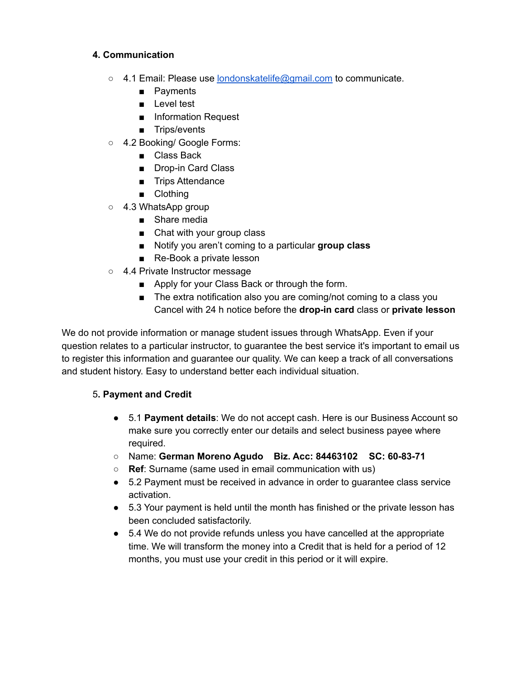## **4. Communication**

- 4.1 Email: Please use [londonskatelife@gmail.com](mailto:londonskatelife@gmail.com) to communicate.
	- Payments
	- Level test
	- Information Request
	- Trips/events
- 4.2 Booking/ Google Forms:
	- Class Back
	- Drop-in Card Class
	- Trips Attendance
	- Clothing
- 4.3 WhatsApp group
	- Share media
	- Chat with your group class
	- Notify you aren't coming to a particular **group class**
	- Re-Book a private lesson
- 4.4 Private Instructor message
	- Apply for your Class Back or through the form.
	- The extra notification also you are coming/not coming to a class you Cancel with 24 h notice before the **drop-in card** class or **private lesson**

We do not provide information or manage student issues through WhatsApp. Even if your question relates to a particular instructor, to guarantee the best service it's important to email us to register this information and guarantee our quality. We can keep a track of all conversations and student history. Easy to understand better each individual situation.

## 5**. Payment and Credit**

- 5.1 **Payment details**: We do not accept cash. Here is our Business Account so make sure you correctly enter our details and select business payee where required.
- Name: **German Moreno Agudo Biz. Acc: 84463102 SC: 60-83-71**
- **Ref**: Surname (same used in email communication with us)
- 5.2 Payment must be received in advance in order to guarantee class service activation.
- 5.3 Your payment is held until the month has finished or the private lesson has been concluded satisfactorily.
- 5.4 We do not provide refunds unless you have cancelled at the appropriate time. We will transform the money into a Credit that is held for a period of 12 months, you must use your credit in this period or it will expire.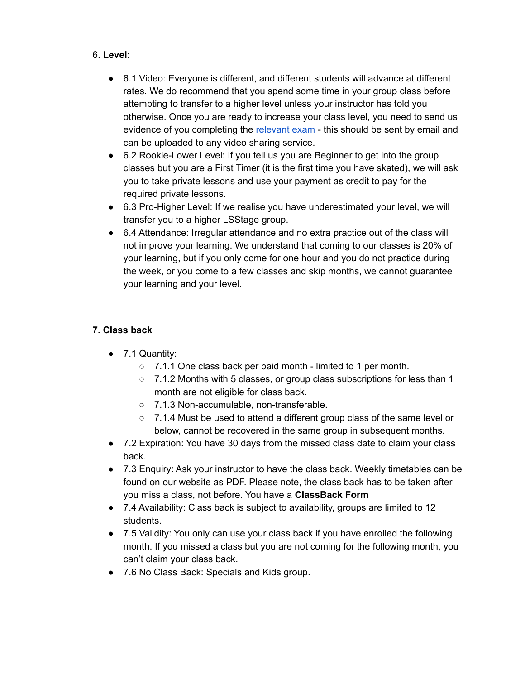### 6. **Level:**

- 6.1 Video: Everyone is different, and different students will advance at different rates. We do recommend that you spend some time in your group class before attempting to transfer to a higher level unless your instructor has told you otherwise. Once you are ready to increase your class level, you need to send us evidence of you completing the [relevant](https://www.londonskatelife.com/find-my-level/) exam - this should be sent by email and can be uploaded to any video sharing service.
- 6.2 Rookie-Lower Level: If you tell us you are Beginner to get into the group classes but you are a First Timer (it is the first time you have skated), we will ask you to take private lessons and use your payment as credit to pay for the required private lessons.
- 6.3 Pro-Higher Level: If we realise you have underestimated your level, we will transfer you to a higher LSStage group.
- 6.4 Attendance: Irregular attendance and no extra practice out of the class will not improve your learning. We understand that coming to our classes is 20% of your learning, but if you only come for one hour and you do not practice during the week, or you come to a few classes and skip months, we cannot guarantee your learning and your level.

## **7. Class back**

- 7.1 Quantity:
	- 7.1.1 One class back per paid month limited to 1 per month.
	- 7.1.2 Months with 5 classes, or group class subscriptions for less than 1 month are not eligible for class back.
	- 7.1.3 Non-accumulable, non-transferable.
	- 7.1.4 Must be used to attend a different group class of the same level or below, cannot be recovered in the same group in subsequent months.
- 7.2 Expiration: You have 30 days from the missed class date to claim your class back.
- 7.3 Enquiry: Ask your instructor to have the class back. Weekly timetables can be found on our website as PDF. Please note, the class back has to be taken after you miss a class, not before. You have a **ClassBack Form**
- 7.4 Availability: Class back is subject to availability, groups are limited to 12 students.
- 7.5 Validity: You only can use your class back if you have enrolled the following month. If you missed a class but you are not coming for the following month, you can't claim your class back.
- 7.6 No Class Back: Specials and Kids group.